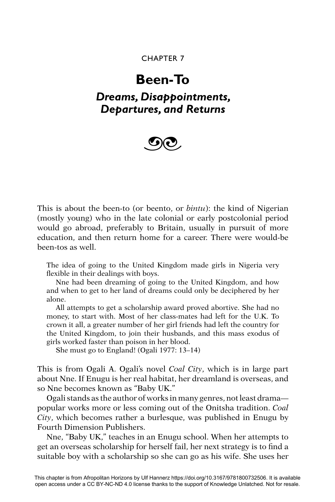### CHAPTER 7

# **Been-To**

## *Dreams, Disappointments, Departures, and Returns*



This is about the been-to (or beento, or *bintu*): the kind of Nigerian (mostly young) who in the late colonial or early postcolonial period would go abroad, preferably to Britain, usually in pursuit of more education, and then return home for a career. There were would-be been-tos as well.

The idea of going to the United Kingdom made girls in Nigeria very flexible in their dealings with boys.

Nne had been dreaming of going to the United Kingdom, and how and when to get to her land of dreams could only be deciphered by her alone.

All attempts to get a scholarship award proved abortive. She had no money, to start with. Most of her class-mates had left for the U.K. To crown it all, a greater number of her girl friends had left the country for the United Kingdom, to join their husbands, and this mass exodus of girls worked faster than poison in her blood.

She must go to England! (Ogali 1977: 13–14)

This is from Ogali A. Ogali's novel *Coal City*, which is in large part about Nne. If Enugu is her real habitat, her dreamland is overseas, and so Nne becomes known as "Baby UK."

Ogali stands as the author of works in many genres, not least drama popular works more or less coming out of the Onitsha tradition. *Coal City*, which becomes rather a burlesque, was published in Enugu by Fourth Dimension Publishers.

Nne, "Baby UK," teaches in an Enugu school. When her attempts to get an overseas scholarship for herself fail, her next strategy is to find a suitable boy with a scholarship so she can go as his wife. She uses her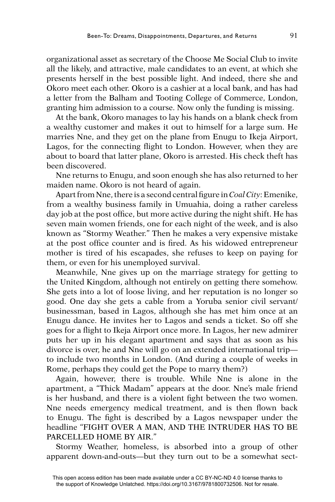organizational asset as secretary of the Choose Me Social Club to invite all the likely, and attractive, male candidates to an event, at which she presents herself in the best possible light. And indeed, there she and Okoro meet each other. Okoro is a cashier at a local bank, and has had a letter from the Balham and Tooting College of Commerce, London, granting him admission to a course. Now only the funding is missing.

At the bank, Okoro manages to lay his hands on a blank check from a wealthy customer and makes it out to himself for a large sum. He marries Nne, and they get on the plane from Enugu to Ikeja Airport, Lagos, for the connecting flight to London. However, when they are about to board that latter plane, Okoro is arrested. His check theft has been discovered.

Nne returns to Enugu, and soon enough she has also returned to her maiden name. Okoro is not heard of again.

Apart from Nne, there is a second central figure in *Coal City*: Emenike, from a wealthy business family in Umuahia, doing a rather careless day job at the post office, but more active during the night shift. He has seven main women friends, one for each night of the week, and is also known as "Stormy Weather." Then he makes a very expensive mistake at the post office counter and is fired. As his widowed entrepreneur mother is tired of his escapades, she refuses to keep on paying for them, or even for his unemployed survival.

Meanwhile, Nne gives up on the marriage strategy for getting to the United Kingdom, although not entirely on getting there somehow. She gets into a lot of loose living, and her reputation is no longer so good. One day she gets a cable from a Yoruba senior civil servant/ businessman, based in Lagos, although she has met him once at an Enugu dance. He invites her to Lagos and sends a ticket. So off she goes for a flight to Ikeja Airport once more. In Lagos, her new admirer puts her up in his elegant apartment and says that as soon as his divorce is over, he and Nne will go on an extended international trip to include two months in London. (And during a couple of weeks in Rome, perhaps they could get the Pope to marry them?)

Again, however, there is trouble. While Nne is alone in the apartment, a "Thick Madam" appears at the door. Nne's male friend is her husband, and there is a violent fight between the two women. Nne needs emergency medical treatment, and is then flown back to Enugu. The fight is described by a Lagos newspaper under the headline "FIGHT OVER A MAN, AND THE INTRUDER HAS TO BE PARCELLED HOME BY AIR."

Stormy Weather, homeless, is absorbed into a group of other apparent down-and-outs—but they turn out to be a somewhat sect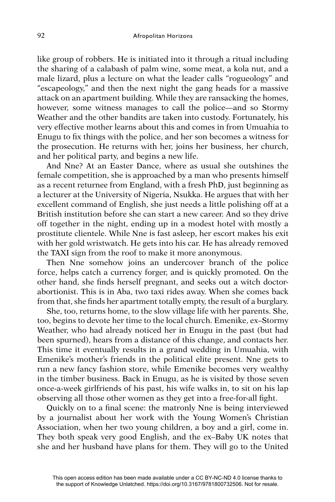like group of robbers. He is initiated into it through a ritual including the sharing of a calabash of palm wine, some meat, a kola nut, and a male lizard, plus a lecture on what the leader calls "rogueology" and "escapeology," and then the next night the gang heads for a massive attack on an apartment building. While they are ransacking the homes, however, some witness manages to call the police—and so Stormy Weather and the other bandits are taken into custody. Fortunately, his very effective mother learns about this and comes in from Umuahia to Enugu to fix things with the police, and her son becomes a witness for the prosecution. He returns with her, joins her business, her church, and her political party, and begins a new life.

And Nne? At an Easter Dance, where as usual she outshines the female competition, she is approached by a man who presents himself as a recent returnee from England, with a fresh PhD, just beginning as a lecturer at the University of Nigeria, Nsukka. He argues that with her excellent command of English, she just needs a little polishing off at a British institution before she can start a new career. And so they drive off together in the night, ending up in a modest hotel with mostly a prostitute clientele. While Nne is fast asleep, her escort makes his exit with her gold wristwatch. He gets into his car. He has already removed the TAXI sign from the roof to make it more anonymous.

Then Nne somehow joins an undercover branch of the police force, helps catch a currency forger, and is quickly promoted. On the other hand, she finds herself pregnant, and seeks out a witch doctorabortionist. This is in Aba, two taxi rides away. When she comes back from that, she finds her apartment totally empty, the result of a burglary.

She, too, returns home, to the slow village life with her parents. She, too, begins to devote her time to the local church. Emenike, ex–Stormy Weather, who had already noticed her in Enugu in the past (but had been spurned), hears from a distance of this change, and contacts her. This time it eventually results in a grand wedding in Umuahia, with Emenike's mother's friends in the political elite present. Nne gets to run a new fancy fashion store, while Emenike becomes very wealthy in the timber business. Back in Enugu, as he is visited by those seven once-a-week girlfriends of his past, his wife walks in, to sit on his lap observing all those other women as they get into a free-for-all fight.

Quickly on to a final scene: the matronly Nne is being interviewed by a journalist about her work with the Young Women's Christian Association, when her two young children, a boy and a girl, come in. They both speak very good English, and the ex–Baby UK notes that she and her husband have plans for them. They will go to the United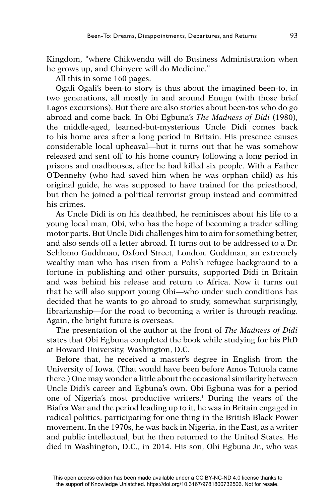Kingdom, "where Chikwendu will do Business Administration when he grows up, and Chinyere will do Medicine."

All this in some 160 pages.

Ogali Ogali's been-to story is thus about the imagined been-to, in two generations, all mostly in and around Enugu (with those brief Lagos excursions). But there are also stories about been-tos who do go abroad and come back. In Obi Egbuna's *The Madness of Didi* (1980), the middle-aged, learned-but-mysterious Uncle Didi comes back to his home area after a long period in Britain. His presence causes considerable local upheaval—but it turns out that he was somehow released and sent off to his home country following a long period in prisons and madhouses, after he had killed six people. With a Father O'Dennehy (who had saved him when he was orphan child) as his original guide, he was supposed to have trained for the priesthood, but then he joined a political terrorist group instead and committed his crimes.

As Uncle Didi is on his deathbed, he reminisces about his life to a young local man, Obi, who has the hope of becoming a trader selling motor parts. But Uncle Didi challenges him to aim for something better, and also sends off a letter abroad. It turns out to be addressed to a Dr. Schlomo Guddman, Oxford Street, London. Guddman, an extremely wealthy man who has risen from a Polish refugee background to a fortune in publishing and other pursuits, supported Didi in Britain and was behind his release and return to Africa. Now it turns out that he will also support young Obi—who under such conditions has decided that he wants to go abroad to study, somewhat surprisingly, librarianship—for the road to becoming a writer is through reading. Again, the bright future is overseas.

The presentation of the author at the front of *The Madness of Didi*  states that Obi Egbuna completed the book while studying for his PhD at Howard University, Washington, D.C.

Before that, he received a master's degree in English from the University of Iowa. (That would have been before Amos Tutuola came there.) One may wonder a little about the occasional similarity between Uncle Didi's career and Egbuna's own. Obi Egbuna was for a period one of Nigeria's most productive writers.1 During the years of the Biafra War and the period leading up to it, he was in Britain engaged in radical politics, participating for one thing in the British Black Power movement. In the 1970s, he was back in Nigeria, in the East, as a writer and public intellectual, but he then returned to the United States. He died in Washington, D.C., in 2014. His son, Obi Egbuna Jr., who was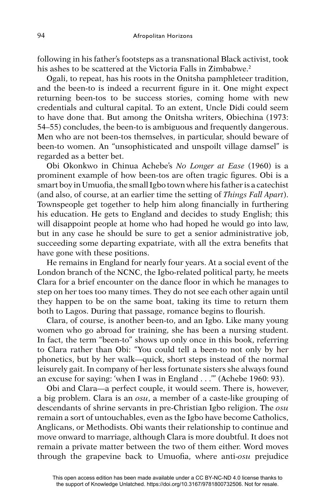following in his father's footsteps as a transnational Black activist, took his ashes to be scattered at the Victoria Falls in Zimbabwe.<sup>2</sup>

Ogali, to repeat, has his roots in the Onitsha pamphleteer tradition, and the been-to is indeed a recurrent figure in it. One might expect returning been-tos to be success stories, coming home with new credentials and cultural capital. To an extent, Uncle Didi could seem to have done that. But among the Onitsha writers, Obiechina (1973: 54–55) concludes, the been-to is ambiguous and frequently dangerous. Men who are not been-tos themselves, in particular, should beware of been-to women. An "unsophisticated and unspoilt village damsel" is regarded as a better bet.

Obi Okonkwo in Chinua Achebe's *No Longer at Ease* (1960) is a prominent example of how been-tos are often tragic figures. Obi is a smart boy in Umuofia, the small Igbo town where his father is a catechist (and also, of course, at an earlier time the setting of *Things Fall Apart*). Townspeople get together to help him along financially in furthering his education. He gets to England and decides to study English; this will disappoint people at home who had hoped he would go into law, but in any case he should be sure to get a senior administrative job, succeeding some departing expatriate, with all the extra benefits that have gone with these positions.

He remains in England for nearly four years. At a social event of the London branch of the NCNC, the Igbo-related political party, he meets Clara for a brief encounter on the dance floor in which he manages to step on her toes too many times. They do not see each other again until they happen to be on the same boat, taking its time to return them both to Lagos. During that passage, romance begins to flourish.

Clara, of course, is another been-to, and an Igbo. Like many young women who go abroad for training, she has been a nursing student. In fact, the term "been-to" shows up only once in this book, referring to Clara rather than Obi: "You could tell a been-to not only by her phonetics, but by her walk—quick, short steps instead of the normal leisurely gait. In company of her less fortunate sisters she always found an excuse for saying: 'when I was in England . . .'" (Achebe 1960: 93).

Obi and Clara—a perfect couple, it would seem. There is, however, a big problem. Clara is an *osu*, a member of a caste-like grouping of descendants of shrine servants in pre-Christian Igbo religion. The *osu*  remain a sort of untouchables, even as the Igbo have become Catholics, Anglicans, or Methodists. Obi wants their relationship to continue and move onward to marriage, although Clara is more doubtful. It does not remain a private matter between the two of them either. Word moves through the grapevine back to Umuofia, where anti-*osu* prejudice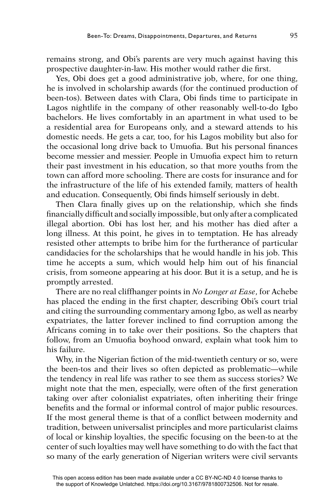remains strong, and Obi's parents are very much against having this prospective daughter-in-law. His mother would rather die first.

Yes, Obi does get a good administrative job, where, for one thing, he is involved in scholarship awards (for the continued production of been-tos). Between dates with Clara, Obi finds time to participate in Lagos nightlife in the company of other reasonably well-to-do Igbo bachelors. He lives comfortably in an apartment in what used to be a residential area for Europeans only, and a steward attends to his domestic needs. He gets a car, too, for his Lagos mobility but also for the occasional long drive back to Umuofia. But his personal finances become messier and messier. People in Umuofia expect him to return their past investment in his education, so that more youths from the town can afford more schooling. There are costs for insurance and for the infrastructure of the life of his extended family, matters of health and education. Consequently, Obi finds himself seriously in debt.

Then Clara finally gives up on the relationship, which she finds financially difficult and socially impossible, but only after a complicated illegal abortion. Obi has lost her, and his mother has died after a long illness. At this point, he gives in to temptation. He has already resisted other attempts to bribe him for the furtherance of particular candidacies for the scholarships that he would handle in his job. This time he accepts a sum, which would help him out of his financial crisis, from someone appearing at his door. But it is a setup, and he is promptly arrested.

There are no real cliffhanger points in *No Longer at Ease*, for Achebe has placed the ending in the first chapter, describing Obi's court trial and citing the surrounding commentary among Igbo, as well as nearby expatriates, the latter forever inclined to find corruption among the Africans coming in to take over their positions. So the chapters that follow, from an Umuofia boyhood onward, explain what took him to his failure.

Why, in the Nigerian fiction of the mid-twentieth century or so, were the been-tos and their lives so often depicted as problematic—while the tendency in real life was rather to see them as success stories? We might note that the men, especially, were often of the first generation taking over after colonialist expatriates, often inheriting their fringe benefits and the formal or informal control of major public resources. If the most general theme is that of a conflict between modernity and tradition, between universalist principles and more particularist claims of local or kinship loyalties, the specific focusing on the been-to at the center of such loyalties may well have something to do with the fact that so many of the early generation of Nigerian writers were civil servants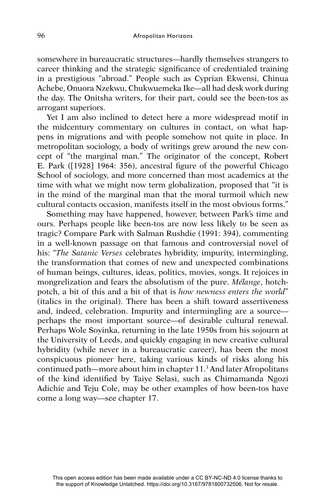somewhere in bureaucratic structures—hardly themselves strangers to career thinking and the strategic significance of credentialed training in a prestigious "abroad." People such as Cyprian Ekwensi, Chinua Achebe, Onuora Nzekwu, Chukwuemeka Ike—all had desk work during the day. The Onitsha writers, for their part, could see the been-tos as arrogant superiors.

Yet I am also inclined to detect here a more widespread motif in the midcentury commentary on cultures in contact, on what happens in migrations and with people somehow not quite in place. In metropolitan sociology, a body of writings grew around the new concept of "the marginal man." The originator of the concept, Robert E. Park ([1928] 1964: 356), ancestral figure of the powerful Chicago School of sociology, and more concerned than most academics at the time with what we might now term globalization, proposed that "it is in the mind of the marginal man that the moral turmoil which new cultural contacts occasion, manifests itself in the most obvious forms."

Something may have happened, however, between Park's time and ours. Perhaps people like been-tos are now less likely to be seen as tragic? Compare Park with Salman Rushdie (1991: 394), commenting in a well-known passage on that famous and controversial novel of his: "*The Satanic Verses* celebrates hybridity, impurity, intermingling, the transformation that comes of new and unexpected combinations of human beings, cultures, ideas, politics, movies, songs. It rejoices in mongrelization and fears the absolutism of the pure. *Mélange*, hotchpotch, a bit of this and a bit of that is *how newness enters the world*" (italics in the original). There has been a shift toward assertiveness and, indeed, celebration. Impurity and intermingling are a source perhaps the most important source—of desirable cultural renewal. Perhaps Wole Soyinka, returning in the late 1950s from his sojourn at the University of Leeds, and quickly engaging in new creative cultural hybridity (while never in a bureaucratic career), has been the most conspicuous pioneer here, taking various kinds of risks along his continued path—more about him in chapter 11.3 And later Afropolitans of the kind identified by Taiye Selasi, such as Chimamanda Ngozi Adichie and Teju Cole, may be other examples of how been-tos have come a long way—see chapter 17.